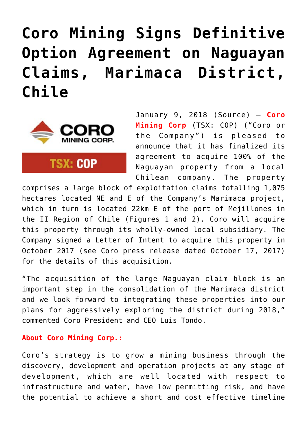## **[Coro Mining Signs Definitive](https://investorintel.com/markets/gold-silver-base-metals/gold-precious-metals-news/coro-mining-signs-definitive-option-agreement-naguayan-claims-marimaca-district-chile/) [Option Agreement on Naguayan](https://investorintel.com/markets/gold-silver-base-metals/gold-precious-metals-news/coro-mining-signs-definitive-option-agreement-naguayan-claims-marimaca-district-chile/) [Claims, Marimaca District,](https://investorintel.com/markets/gold-silver-base-metals/gold-precious-metals-news/coro-mining-signs-definitive-option-agreement-naguayan-claims-marimaca-district-chile/) [Chile](https://investorintel.com/markets/gold-silver-base-metals/gold-precious-metals-news/coro-mining-signs-definitive-option-agreement-naguayan-claims-marimaca-district-chile/)**



**TSX: COP** 

January 9, 2018 ([Source](https://investorintel.com/iintel-members/coro-mining-corp/)) — **Coro Mining Corp** (TSX: COP) ("Coro or the Company") is pleased to announce that it has finalized its agreement to acquire 100% of the Naguayan property from a local Chilean company. The property

comprises a large block of exploitation claims totalling 1,075 hectares located NE and E of the Company's Marimaca project, which in turn is located 22km E of the port of Mejillones in the II Region of Chile (Figures 1 and 2). Coro will acquire this property through its wholly-owned local subsidiary. The Company signed a Letter of Intent to acquire this property in October 2017 (see Coro press release dated October 17, 2017) for the details of this acquisition.

"The acquisition of the large Naguayan claim block is an important step in the consolidation of the Marimaca district and we look forward to integrating these properties into our plans for aggressively exploring the district during 2018," commented Coro President and CEO Luis Tondo.

## **About Coro Mining Corp.:**

Coro's strategy is to grow a mining business through the discovery, development and operation projects at any stage of development, which are well located with respect to infrastructure and water, have low permitting risk, and have the potential to achieve a short and cost effective timeline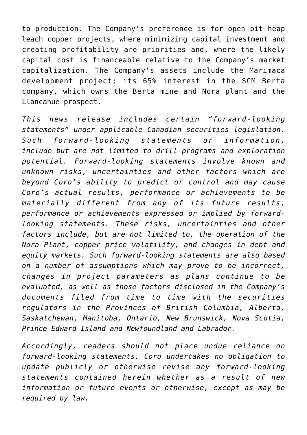to production. The Company's preference is for open pit heap leach copper projects, where minimizing capital investment and creating profitability are priorities and, where the likely capital cost is financeable relative to the Company's market capitalization. The Company's assets include the Marimaca development project; its 65% interest in the SCM Berta company, which owns the Berta mine and Nora plant and the Llancahue prospect.

*This news release includes certain "forward-looking statements" under applicable Canadian securities legislation. Such forward-looking statements or information, include but are not limited to drill programs and exploration potential. Forward-looking statements involve known and unknown risks, uncertainties and other factors which are beyond Coro's ability to predict or control and may cause Coro's actual results, performance or achievements to be materially different from any of its future results, performance or achievements expressed or implied by forwardlooking statements. These risks, uncertainties and other factors include, but are not limited to, the operation of the Nora Plant, copper price volatility, and changes in debt and equity markets. Such forward-looking statements are also based on a number of assumptions which may prove to be incorrect, changes in project parameters as plans continue to be evaluated, as well as those factors disclosed in the Company's documents filed from time to time with the securities regulators in the Provinces of British Columbia, Alberta, Saskatchewan, Manitoba, Ontario, New Brunswick, Nova Scotia, Prince Edward Island and Newfoundland and Labrador.*

*Accordingly, readers should not place undue reliance on forward-looking statements. Coro undertakes no obligation to update publicly or otherwise revise any forward-looking statements contained herein whether as a result of new information or future events or otherwise, except as may be required by law.*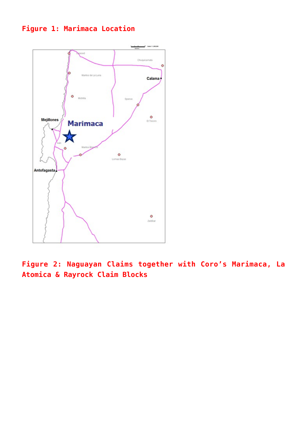## **Figure 1: Marimaca Location**



**Figure 2: Naguayan Claims together with Coro's Marimaca, La Atomica & Rayrock Claim Blocks**